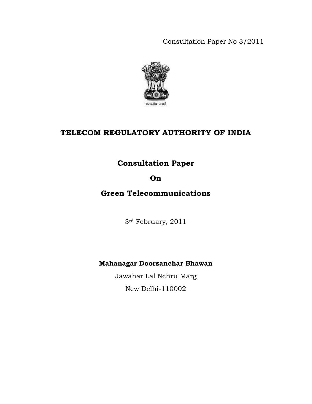Consultation Paper No 3/2011



# **TELECOM REGULATORY AUTHORITY OF INDIA**

# **Consultation Paper**

# **On**

# **Green Telecommunications**

3rd February, 2011

# **Mahanagar Doorsanchar Bhawan**

Jawahar Lal Nehru Marg New Delhi-110002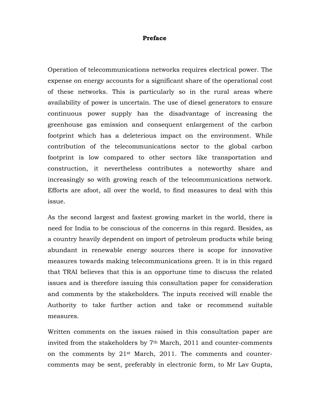### **Preface**

Operation of telecommunications networks requires electrical power. The expense on energy accounts for a significant share of the operational cost of these networks. This is particularly so in the rural areas where availability of power is uncertain. The use of diesel generators to ensure continuous power supply has the disadvantage of increasing the greenhouse gas emission and consequent enlargement of the carbon footprint which has a deleterious impact on the environment. While contribution of the telecommunications sector to the global carbon footprint is low compared to other sectors like transportation and construction, it nevertheless contributes a noteworthy share and increasingly so with growing reach of the telecommunications network. Efforts are afoot, all over the world, to find measures to deal with this issue.

As the second largest and fastest growing market in the world, there is need for India to be conscious of the concerns in this regard. Besides, as a country heavily dependent on import of petroleum products while being abundant in renewable energy sources there is scope for innovative measures towards making telecommunications green. It is in this regard that TRAI believes that this is an opportune time to discuss the related issues and is therefore issuing this consultation paper for consideration and comments by the stakeholders. The inputs received will enable the Authority to take further action and take or recommend suitable measures.

Written comments on the issues raised in this consultation paper are invited from the stakeholders by 7th March, 2011 and counter-comments on the comments by 21st March, 2011. The comments and countercomments may be sent, preferably in electronic form, to Mr Lav Gupta,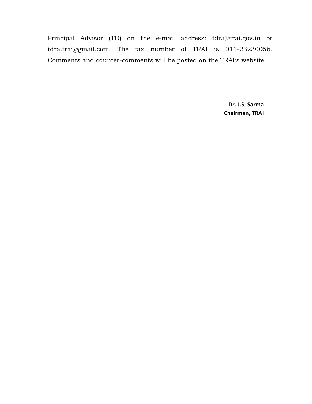Principal Advisor (TD) on the e-mail address: tdra@trai.gov.in or tdra.trai@gmail.com. The fax number of TRAI is 011-23230056. Comments and counter-comments will be posted on the TRAI's website.

> **Dr. J.S. Sarma Chairman, TRAI**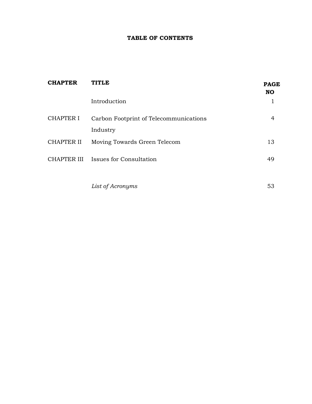## **TABLE OF CONTENTS**

| <b>TITLE</b>                           | <b>PAGE</b><br><b>NO</b> |
|----------------------------------------|--------------------------|
| Introduction                           |                          |
| Carbon Footprint of Telecommunications |                          |
| Industry                               |                          |
| Moving Towards Green Telecom           | 13                       |
| CHAPTER III Issues for Consultation    | 49                       |
|                                        |                          |

*List of Acronyms* 53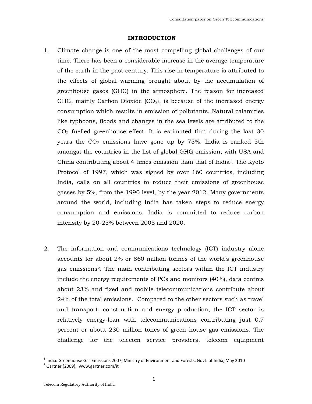#### **INTRODUCTION**

- 1. Climate change is one of the most compelling global challenges of our time. There has been a considerable increase in the average temperature of the earth in the past century. This rise in temperature is attributed to the effects of global warming brought about by the accumulation of greenhouse gases (GHG) in the atmosphere. The reason for increased GHG, mainly Carbon Dioxide  $(CO<sub>2</sub>)$ , is because of the increased energy consumption which results in emission of pollutants. Natural calamities like typhoons, floods and changes in the sea levels are attributed to the  $CO<sub>2</sub>$  fuelled greenhouse effect. It is estimated that during the last 30 years the  $CO<sub>2</sub>$  emissions have gone up by 73%. India is ranked 5th amongst the countries in the list of global GHG emission, with USA and China contributing about 4 times emission than that of India<sup>1</sup>. The Kyoto Protocol of 1997, which was signed by over 160 countries, including India, calls on all countries to reduce their emissions of greenhouse gasses by 5%, from the 1990 level, by the year 2012. Many governments around the world, including India has taken steps to reduce energy consumption and emissions. India is committed to reduce carbon intensity by 20-25% between 2005 and 2020.
- 2. The information and communications technology (ICT) industry alone accounts for about 2% or 860 million tonnes of the world's greenhouse gas emissions2. The main contributing sectors within the ICT industry include the energy requirements of PCs and monitors (40%), data centres about 23% and fixed and mobile telecommunications contribute about 24% of the total emissions. Compared to the other sectors such as travel and transport, construction and energy production, the ICT sector is relatively energy-lean with telecommunications contributing just 0.7 percent or about 230 million tones of green house gas emissions. The challenge for the telecom service providers, telecom equipment

 $^1$  India: Greenhouse Gas Emissions 2007, Ministry of Environment and Forests, Govt. of India, May 2010

 $2$  Gartner (2009), www.gartner.com/it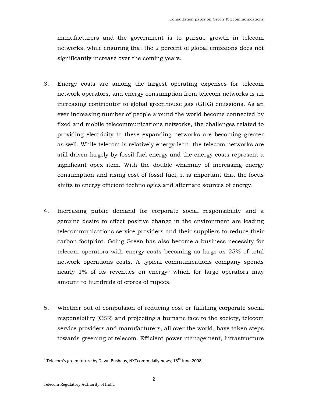manufacturers and the government is to pursue growth in telecom networks, while ensuring that the 2 percent of global emissions does not significantly increase over the coming years.

- 3. Energy costs are among the largest operating expenses for telecom network operators, and energy consumption from telecom networks is an increasing contributor to global greenhouse gas (GHG) emissions. As an ever increasing number of people around the world become connected by fixed and mobile telecommunications networks, the challenges related to providing electricity to these expanding networks are becoming greater as well. While telecom is relatively energy-lean, the telecom networks are still driven largely by fossil fuel energy and the energy costs represent a significant opex item. With the double whammy of increasing energy consumption and rising cost of fossil fuel, it is important that the focus shifts to energy efficient technologies and alternate sources of energy.
- 4. Increasing public demand for corporate social responsibility and a genuine desire to effect positive change in the environment are leading telecommunications service providers and their suppliers to reduce their carbon footprint. Going Green has also become a business necessity for telecom operators with energy costs becoming as large as 25% of total network operations costs. A typical communications company spends nearly 1% of its revenues on energy3 which for large operators may amount to hundreds of crores of rupees.
- 5. Whether out of compulsion of reducing cost or fulfilling corporate social responsibility (CSR) and projecting a humane face to the society, telecom service providers and manufacturers, all over the world, have taken steps towards greening of telecom. Efficient power management, infrastructure

 $^3$  Telecom's green future by Dawn Bushaus, NXTcomm daily news, 18<sup>th</sup> June 2008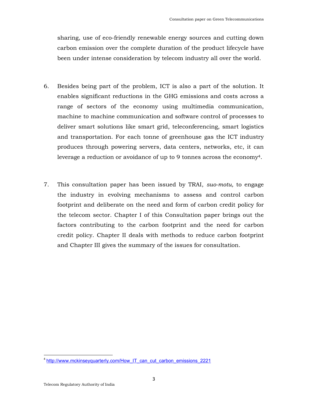sharing, use of eco-friendly renewable energy sources and cutting down carbon emission over the complete duration of the product lifecycle have been under intense consideration by telecom industry all over the world.

- 6. Besides being part of the problem, ICT is also a part of the solution. It enables significant reductions in the GHG emissions and costs across a range of sectors of the economy using multimedia communication, machine to machine communication and software control of processes to deliver smart solutions like smart grid, teleconferencing, smart logistics and transportation. For each tonne of greenhouse gas the ICT industry produces through powering servers, data centers, networks, etc, it can leverage a reduction or avoidance of up to 9 tonnes across the economy4.
- 7. This consultation paper has been issued by TRAI, *suo-motu,* to engage the industry in evolving mechanisms to assess and control carbon footprint and deliberate on the need and form of carbon credit policy for the telecom sector. Chapter I of this Consultation paper brings out the factors contributing to the carbon footprint and the need for carbon credit policy. Chapter II deals with methods to reduce carbon footprint and Chapter III gives the summary of the issues for consultation.

 $\overline{\phantom{a}}$ 

<sup>&</sup>lt;sup>4</sup> http://www.mckinseyquarterly.com/How\_IT\_can\_cut\_carbon\_emissions\_2221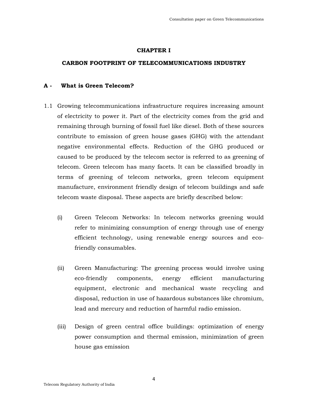### **CHAPTER I**

### **CARBON FOOTPRINT OF TELECOMMUNICATIONS INDUSTRY**

### **A - What is Green Telecom?**

- 1.1 Growing telecommunications infrastructure requires increasing amount of electricity to power it. Part of the electricity comes from the grid and remaining through burning of fossil fuel like diesel. Both of these sources contribute to emission of green house gases (GHG) with the attendant negative environmental effects. Reduction of the GHG produced or caused to be produced by the telecom sector is referred to as greening of telecom. Green telecom has many facets. It can be classified broadly in terms of greening of telecom networks, green telecom equipment manufacture, environment friendly design of telecom buildings and safe telecom waste disposal. These aspects are briefly described below:
	- (i) Green Telecom Networks: In telecom networks greening would refer to minimizing consumption of energy through use of energy efficient technology, using renewable energy sources and ecofriendly consumables.
	- (ii) Green Manufacturing: The greening process would involve using eco-friendly components, energy efficient manufacturing equipment, electronic and mechanical waste recycling and disposal, reduction in use of hazardous substances like chromium, lead and mercury and reduction of harmful radio emission.
	- (iii) Design of green central office buildings: optimization of energy power consumption and thermal emission, minimization of green house gas emission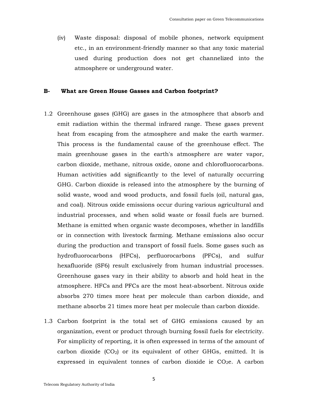(iv) Waste disposal: disposal of mobile phones, network equipment etc., in an environment-friendly manner so that any toxic material used during production does not get channelized into the atmosphere or underground water.

### **B- What are Green House Gasses and Carbon footprint?**

- 1.2 Greenhouse gases (GHG) are gases in the atmosphere that absorb and emit radiation within the thermal infrared range. These gases prevent heat from escaping from the atmosphere and make the earth warmer. This process is the fundamental cause of the greenhouse effect. The main greenhouse gases in the earth's atmosphere are water vapor, carbon dioxide, methane, nitrous oxide, ozone and chlorofluorocarbons. Human activities add significantly to the level of naturally occurring GHG. Carbon dioxide is released into the atmosphere by the burning of solid waste, wood and wood products, and fossil fuels (oil, natural gas, and coal). Nitrous oxide emissions occur during various agricultural and industrial processes, and when solid waste or fossil fuels are burned. Methane is emitted when organic waste decomposes, whether in landfills or in connection with livestock farming. Methane emissions also occur during the production and transport of fossil fuels. Some gases such as hydrofluorocarbons (HFCs), perfluorocarbons (PFCs), and sulfur hexafluoride (SF6) result exclusively from human industrial processes. Greenhouse gases vary in their ability to absorb and hold heat in the atmosphere. HFCs and PFCs are the most heat-absorbent. Nitrous oxide absorbs 270 times more heat per molecule than carbon dioxide, and methane absorbs 21 times more heat per molecule than carbon dioxide.
- 1.3 Carbon footprint is the total set of GHG emissions caused by an organization, event or product through burning fossil fuels for electricity. For simplicity of reporting, it is often expressed in terms of the amount of carbon dioxide  $(CO_2)$  or its equivalent of other GHGs, emitted. It is expressed in equivalent tonnes of carbon dioxide ie  $CO<sub>2</sub>e$ . A carbon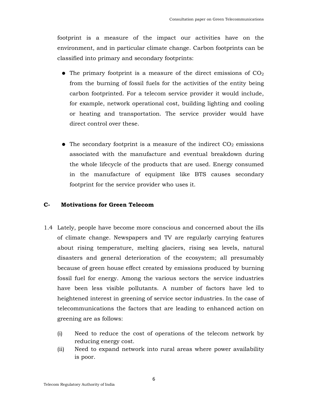footprint is a measure of the impact our activities have on the environment, and in particular climate change. Carbon footprints can be classified into primary and secondary footprints:

- $\bullet$  The primary footprint is a measure of the direct emissions of CO<sub>2</sub> from the burning of fossil fuels for the activities of the entity being carbon footprinted. For a telecom service provider it would include, for example, network operational cost, building lighting and cooling or heating and transportation. The service provider would have direct control over these.
- $\bullet$  The secondary footprint is a measure of the indirect  $CO<sub>2</sub>$  emissions associated with the manufacture and eventual breakdown during the whole lifecycle of the products that are used. Energy consumed in the manufacture of equipment like BTS causes secondary footprint for the service provider who uses it.

### **C- Motivations for Green Telecom**

- 1.4 Lately, people have become more conscious and concerned about the ills of climate change. Newspapers and TV are regularly carrying features about rising temperature, melting glaciers, rising sea levels, natural disasters and general deterioration of the ecosystem; all presumably because of green house effect created by emissions produced by burning fossil fuel for energy. Among the various sectors the service industries have been less visible pollutants. A number of factors have led to heightened interest in greening of service sector industries. In the case of telecommunications the factors that are leading to enhanced action on greening are as follows:
	- (i) Need to reduce the cost of operations of the telecom network by reducing energy cost.
	- (ii) Need to expand network into rural areas where power availability is poor.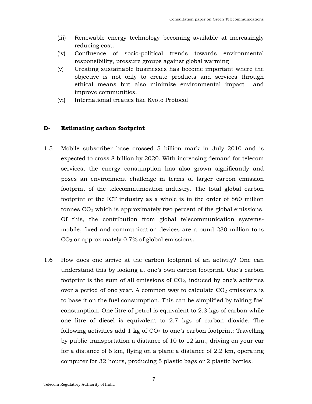- (iii) Renewable energy technology becoming available at increasingly reducing cost.
- (iv) Confluence of socio-political trends towards environmental responsibility, pressure groups against global warming
- (v) Creating sustainable businesses has become important where the objective is not only to create products and services through ethical means but also minimize environmental impact and improve communities.
- (vi) International treaties like Kyoto Protocol

### **D- Estimating carbon footprint**

- 1.5 Mobile subscriber base crossed 5 billion mark in July 2010 and is expected to cross 8 billion by 2020. With increasing demand for telecom services, the energy consumption has also grown significantly and poses an environment challenge in terms of larger carbon emission footprint of the telecommunication industry. The total global carbon footprint of the ICT industry as a whole is in the order of 860 million tonnes  $CO<sub>2</sub>$  which is approximately two percent of the global emissions. Of this, the contribution from global telecommunication systemsmobile, fixed and communication devices are around 230 million tons  $CO<sub>2</sub>$  or approximately 0.7% of global emissions.
- 1.6 How does one arrive at the carbon footprint of an activity? One can understand this by looking at one's own carbon footprint. One's carbon footprint is the sum of all emissions of  $CO<sub>2</sub>$ , induced by one's activities over a period of one year. A common way to calculate  $CO<sub>2</sub>$  emissions is to base it on the fuel consumption. This can be simplified by taking fuel consumption. One litre of petrol is equivalent to 2.3 kgs of carbon while one litre of diesel is equivalent to 2.7 kgs of carbon dioxide. The following activities add  $1 \text{ kg}$  of  $CO<sub>2</sub>$  to one's carbon footprint: Travelling by public transportation a distance of 10 to 12 km., driving on your car for a distance of 6 km, flying on a plane a distance of 2.2 km, operating computer for 32 hours, producing 5 plastic bags or 2 plastic bottles.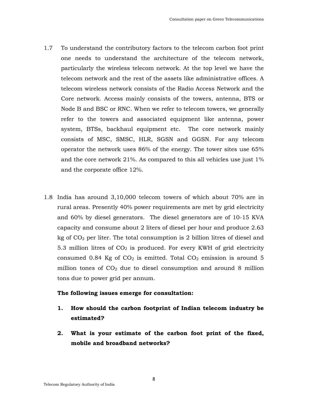- 1.7 To understand the contributory factors to the telecom carbon foot print one needs to understand the architecture of the telecom network, particularly the wireless telecom network. At the top level we have the telecom network and the rest of the assets like administrative offices. A telecom wireless network consists of the Radio Access Network and the Core network. Access mainly consists of the towers, antenna, BTS or Node B and BSC or RNC. When we refer to telecom towers, we generally refer to the towers and associated equipment like antenna, power system, BTSs, backhaul equipment etc. The core network mainly consists of MSC, SMSC, HLR, SGSN and GGSN. For any telecom operator the network uses 86% of the energy. The tower sites use 65% and the core network 21%. As compared to this all vehicles use just 1% and the corporate office 12%.
- 1.8 India has around 3,10,000 telecom towers of which about 70% are in rural areas. Presently 40% power requirements are met by grid electricity and 60% by diesel generators. The diesel generators are of 10-15 KVA capacity and consume about 2 liters of diesel per hour and produce 2.63 kg of  $CO<sub>2</sub>$  per liter. The total consumption is 2 billion litres of diesel and 5.3 million litres of  $CO<sub>2</sub>$  is produced. For every KWH of grid electricity consumed 0.84 Kg of  $CO<sub>2</sub>$  is emitted. Total  $CO<sub>2</sub>$  emission is around 5 million tones of  $CO<sub>2</sub>$  due to diesel consumption and around 8 million tons due to power grid per annum.

### **The following issues emerge for consultation:**

- **1. How should the carbon footprint of Indian telecom industry be estimated?**
- **2. What is your estimate of the carbon foot print of the fixed, mobile and broadband networks?**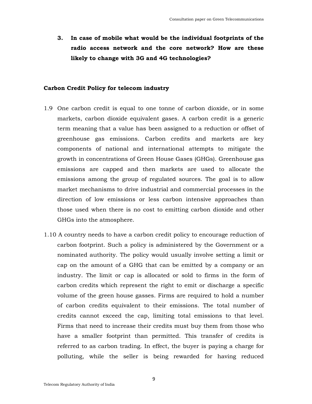**3. In case of mobile what would be the individual footprints of the radio access network and the core network? How are these likely to change with 3G and 4G technologies?** 

### **Carbon Credit Policy for telecom industry**

- 1.9 One carbon credit is equal to one tonne of carbon dioxide, or in some markets, carbon dioxide equivalent gases. A carbon credit is a generic term meaning that a value has been assigned to a reduction or offset of greenhouse gas emissions. Carbon credits and markets are key components of national and international attempts to mitigate the growth in concentrations of Green House Gases (GHGs). Greenhouse gas emissions are capped and then markets are used to allocate the emissions among the group of regulated sources. The goal is to allow market mechanisms to drive industrial and commercial processes in the direction of low emissions or less carbon intensive approaches than those used when there is no cost to emitting carbon dioxide and other GHGs into the atmosphere.
- 1.10 A country needs to have a carbon credit policy to encourage reduction of carbon footprint. Such a policy is administered by the Government or a nominated authority. The policy would usually involve setting a limit or cap on the amount of a GHG that can be emitted by a company or an industry. The limit or cap is allocated or sold to firms in the form of carbon credits which represent the right to emit or discharge a specific volume of the green house gasses. Firms are required to hold a number of carbon credits equivalent to their emissions. The total number of credits cannot exceed the cap, limiting total emissions to that level. Firms that need to increase their credits must buy them from those who have a smaller footprint than permitted. This transfer of credits is referred to as carbon trading. In effect, the buyer is paying a charge for polluting, while the seller is being rewarded for having reduced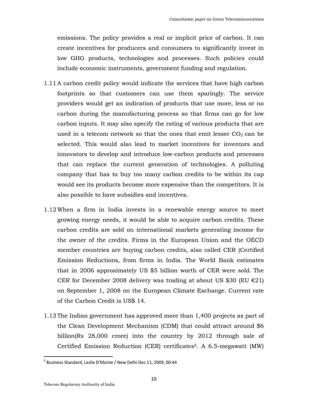emissions. The policy provides a real or implicit price of carbon. It can create incentives for producers and consumers to significantly invest in low GHG products, technologies and processes. Such policies could include economic instruments, government funding and regulation.

- 1.11 A carbon credit policy would indicate the services that have high carbon footprints so that customers can use them sparingly. The service providers would get an indication of products that use more, less or no carbon during the manufacturing process so that firms can go for low carbon inputs. It may also specify the rating of various products that are used in a telecom network so that the ones that emit lesser  $CO<sub>2</sub>$  can be selected. This would also lead to market incentives for inventors and innovators to develop and introduce low-carbon products and processes that can replace the current generation of technologies. A polluting company that has to buy too many carbon credits to be within its cap would see its products become more expensive than the competitors. It is also possible to have subsidies and incentives.
- 1.12 When a firm in India invests in a renewable energy source to meet growing energy needs, it would be able to acquire carbon credits. These carbon credits are sold on international markets generating income for the owner of the credits. Firms in the European Union and the OECD member countries are buying carbon credits, also called CER (Certified Emission Reductions, from firms in India. The World Bank estimates that in 2006 approximately US \$5 billion worth of CER were sold. The CER for December 2008 delivery was trading at about US \$30 (EU  $\epsilon$ 21) on September 1, 2008 on the European Climate Exchange. Current rate of the Carbon Credit is US\$ 14.
- 1.13 The Indian government has approved more than 1,400 projects as part of the Clean Development Mechanism (CDM) that could attract around \$6 billion(Rs 28,000 crore) into the country by 2012 through sale of Certified Emission Reduction (CER) certificates5. A 6.5-megawatt (MW)

 $\overline{\phantom{a}}$ 

<sup>&</sup>lt;sup>5</sup> Business Standard, Leslie D'Monte / New Delhi Dec 11, 2009, 00:44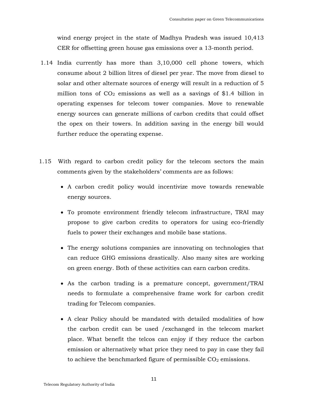wind energy project in the state of Madhya Pradesh was issued 10,413 CER for offsetting green house gas emissions over a 13-month period.

- 1.14 India currently has more than 3,10,000 cell phone towers, which consume about 2 billion litres of diesel per year. The move from diesel to solar and other alternate sources of energy will result in a reduction of 5 million tons of  $CO<sub>2</sub>$  emissions as well as a savings of \$1.4 billion in operating expenses for telecom tower companies. Move to renewable energy sources can generate millions of carbon credits that could offset the opex on their towers. In addition saving in the energy bill would further reduce the operating expense.
- 1.15 With regard to carbon credit policy for the telecom sectors the main comments given by the stakeholders' comments are as follows:
	- A carbon credit policy would incentivize move towards renewable energy sources.
	- To promote environment friendly telecom infrastructure, TRAI may propose to give carbon credits to operators for using eco-friendly fuels to power their exchanges and mobile base stations.
	- The energy solutions companies are innovating on technologies that can reduce GHG emissions drastically. Also many sites are working on green energy. Both of these activities can earn carbon credits.
	- As the carbon trading is a premature concept, government/TRAI needs to formulate a comprehensive frame work for carbon credit trading for Telecom companies.
	- A clear Policy should be mandated with detailed modalities of how the carbon credit can be used /exchanged in the telecom market place. What benefit the telcos can enjoy if they reduce the carbon emission or alternatively what price they need to pay in case they fail to achieve the benchmarked figure of permissible  $CO<sub>2</sub>$  emissions.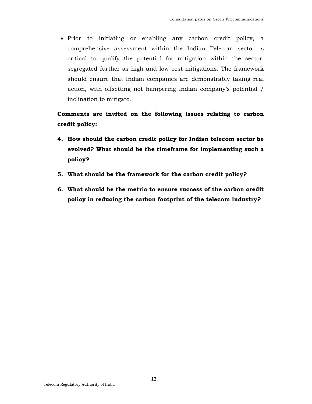• Prior to initiating or enabling any carbon credit policy, a comprehensive assessment within the Indian Telecom sector is critical to qualify the potential for mitigation within the sector, segregated further as high and low cost mitigations. The framework should ensure that Indian companies are demonstrably taking real action, with offsetting not hampering Indian company's potential / inclination to mitigate.

# **Comments are invited on the following issues relating to carbon credit policy:**

- **4. How should the carbon credit policy for Indian telecom sector be evolved? What should be the timeframe for implementing such a policy?**
- **5. What should be the framework for the carbon credit policy?**
- **6. What should be the metric to ensure success of the carbon credit policy in reducing the carbon footprint of the telecom industry?**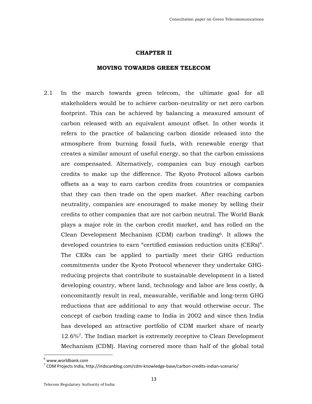#### **CHAPTER II**

### **MOVING TOWARDS GREEN TELECOM**

2.1 In the march towards green telecom, the ultimate goal for all stakeholders would be to achieve carbon-neutrality or net zero carbon footprint. This can be achieved by balancing a measured amount of carbon released with an equivalent amount offset. In other words it refers to the practice of balancing carbon dioxide released into the atmosphere from burning fossil fuels, with renewable energy that creates a similar amount of useful energy, so that the carbon emissions are compensated. Alternatively, companies can buy enough carbon credits to make up the difference. The Kyoto Protocol allows carbon offsets as a way to earn carbon credits from countries or companies that they can then trade on the open market. After reaching carbon neutrality, companies are encouraged to make money by selling their credits to other companies that are not carbon neutral. The World Bank plays a major role in the carbon credit market, and has rolled on the Clean Development Mechanism (CDM) carbon trading6. It allows the developed countries to earn "certified emission reduction units (CERs)". The CERs can be applied to partially meet their GHG reduction commitments under the Kyoto Protocol whenever they undertake GHGreducing projects that contribute to sustainable development in a listed developing country, where land, technology and labor are less costly, & concomitantly result in real, measurable, verifiable and long-term GHG reductions that are additional to any that would otherwise occur. The concept of carbon trading came to India in 2002 and since then India has developed an attractive portfolio of CDM market share of nearly 12.6%<sup>7</sup>. The Indian market is extremely receptive to Clean Development Mechanism (CDM). Having cornered more than half of the global total

<sup>6</sup> www.worldbank.com

 $^7$  CDM Projects India, http://indscanblog.com/cdm-knowledge-base/carbon-credits-indian-scenario/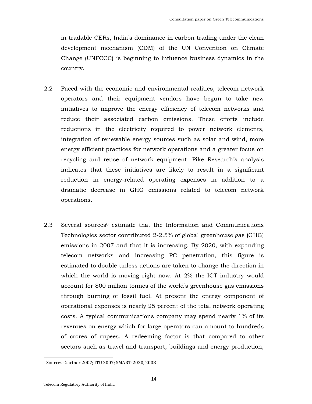in tradable CERs, India's dominance in carbon trading under the clean development mechanism (CDM) of the UN Convention on Climate Change (UNFCCC) is beginning to influence business dynamics in the country.

- 2.2 Faced with the economic and environmental realities, telecom network operators and their equipment vendors have begun to take new initiatives to improve the energy efficiency of telecom networks and reduce their associated carbon emissions. These efforts include reductions in the electricity required to power network elements, integration of renewable energy sources such as solar and wind, more energy efficient practices for network operations and a greater focus on recycling and reuse of network equipment. Pike Research's analysis indicates that these initiatives are likely to result in a significant reduction in energy-related operating expenses in addition to a dramatic decrease in GHG emissions related to telecom network operations.
- 2.3 Several sources<sup>8</sup> estimate that the Information and Communications Technologies sector contributed 2-2.5% of global greenhouse gas (GHG) emissions in 2007 and that it is increasing. By 2020, with expanding telecom networks and increasing PC penetration, this figure is estimated to double unless actions are taken to change the direction in which the world is moving right now. At 2% the ICT industry would account for 800 million tonnes of the world's greenhouse gas emissions through burning of fossil fuel. At present the energy component of operational expenses is nearly 25 percent of the total network operating costs. A typical communications company may spend nearly 1% of its revenues on energy which for large operators can amount to hundreds of crores of rupees. A redeeming factor is that compared to other sectors such as travel and transport, buildings and energy production,

 $\overline{\phantom{a}}$ 

<sup>8</sup> Sources: Gartner 2007; ITU 2007; SMART-2020, 2008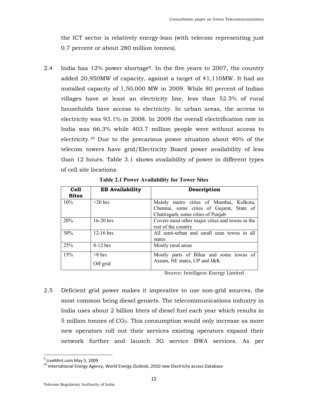the ICT sector is relatively energy-lean (with telecom representing just 0.7 percent or about 280 million tonnes).

2.4 India has 12% power shortage<sup>9</sup>. In the five years to 2007, the country added 20,950MW of capacity, against a target of 41,110MW. It had an installed capacity of 1,50,000 MW in 2009. While 80 percent of Indian villages have at least an electricity line, less than 52.5% of rural households have access to electricity. In urban areas, the access to electricity was 93.1% in 2008. In 2009 the overall electrification rate in India was 66.3% while 403.7 million people were without access to electricity.<sup>10</sup> Due to the precarious power situation about 40% of the telecom towers have grid/Electricity Board power availability of less than 12 hours. Table 3.1 shows availability of power in different types of cell site locations.

| <b>Cell</b><br><b>Sites</b> | <b>EB Availability</b> | Description                                                                                                                |
|-----------------------------|------------------------|----------------------------------------------------------------------------------------------------------------------------|
| 10%                         | $>20$ hrs              | Mainly metro cities of Mumbai, Kolkota,<br>Chennai, some cities of Gujarat, State of<br>Chattisgarh, some cities of Punjab |
| 20%                         | $16-20$ hrs            | Covers most other major cities and towns in the<br>rest of the country                                                     |
| 30%                         | $12-16$ hrs            | All semi-urban and small uran towns in all<br>states                                                                       |
| 25%                         | $8-12$ hrs             | Mostly rural areas                                                                                                         |
| 15%                         | $8$ hrs<br>Off grid    | Mostly parts of Bihar and some towns of<br>Assam, NE states, UP and J&K                                                    |

**Table 2.1 Power Availability for Tower Sites** 

Source: Intelligent Energy Limited

2.5 Deficient grid power makes it imperative to use non-grid sources, the most common being diesel gensets. The telecommunications industry in India uses about 2 billion liters of diesel fuel each year which results in  $5$  million tonnes of  $CO<sub>2</sub>$ . This consumption would only increase as more new operators roll out their services existing operators expand their network further and launch 3G service BWA services. As per

<sup>&</sup>lt;sup>9</sup> LiveMint.com May 5, 2009

<sup>&</sup>lt;sup>10</sup> International Energy Agency, World Energy Outlook, 2010 new Electricity access Database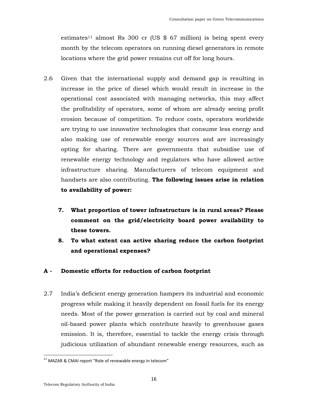estimates<sup>11</sup> almost Rs 300 cr (US  $$67$  million) is being spent every month by the telecom operators on running diesel generators in remote locations where the grid power remains cut off for long hours.

- 2.6 Given that the international supply and demand gap is resulting in increase in the price of diesel which would result in increase in the operational cost associated with managing networks, this may affect the profitability of operators, some of whom are already seeing profit erosion because of competition. To reduce costs, operators worldwide are trying to use innovative technologies that consume less energy and also making use of renewable energy sources and are increasingly opting for sharing. There are governments that subsidise use of renewable energy technology and regulators who have allowed active infrastructure sharing. Manufacturers of telecom equipment and handsets are also contributing. **The following issues arise in relation to availability of power:**
	- **7. What proportion of tower infrastructure is in rural areas? Please comment on the grid/electricity board power availability to these towers.**
	- **8. To what extent can active sharing reduce the carbon footprint and operational expenses?**

### **A - Domestic efforts for reduction of carbon footprint**

2.7 India's deficient energy generation hampers its industrial and economic progress while making it heavily dependent on fossil fuels for its energy needs. Most of the power generation is carried out by coal and mineral oil-based power plants which contribute heavily to greenhouse gases emission. It is, therefore, essential to tackle the energy crisis through judicious utilization of abundant renewable energy resources, such as

 $11$  MAZAR & CMAI report "Role of renewable energy in telecom"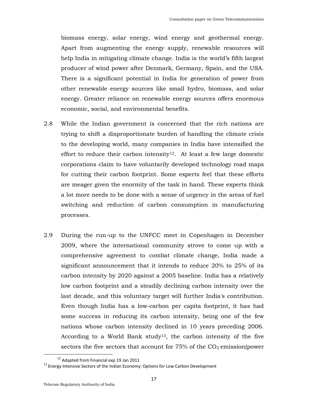biomass energy, solar energy, wind energy and geothermal energy. Apart from augmenting the energy supply, renewable resources will help India in mitigating climate change. India is the world's fifth largest producer of wind power after Denmark, Germany, Spain, and the USA. There is a significant potential in India for generation of power from other renewable energy sources like small hydro, biomass, and solar energy. Greater reliance on renewable energy sources offers enormous economic, social, and environmental benefits.

- 2.8 While the Indian government is concerned that the rich nations are trying to shift a disproportionate burden of handling the climate crisis to the developing world, many companies in India have intensified the effort to reduce their carbon intensity<sup>12</sup>. At least a few large domestic corporations claim to have voluntarily developed technology road maps for cutting their carbon footprint. Some experts feel that these efforts are meager given the enormity of the task in hand. These experts think a lot more needs to be done with a sense of urgency in the areas of fuel switching and reduction of carbon consumption in manufacturing processes.
- 2.9 During the run-up to the UNFCC meet in Copenhagen in December 2009, where the international community strove to come up with a comprehensive agreement to combat climate change, India made a significant announcement that it intends to reduce 20% to 25% of its carbon intensity by 2020 against a 2005 baseline. India has a relatively low carbon footprint and a steadily declining carbon intensity over the last decade, and this voluntary target will further India's contribution. Even though India has a low-carbon per capita footprint, it has had some success in reducing its carbon intensity, being one of the few nations whose carbon intensity declined in 10 years preceding 2006. According to a World Bank study<sup>13</sup>, the carbon intensity of the five sectors the five sectors that account for  $75\%$  of the  $CO<sub>2</sub>$  emission(power

<sup>&</sup>lt;sup>12</sup> Adapted from Financial exp 19 Jan 2011

 $13$  Energy Intensive Sectors of the Indian Economy: Options for Low Carbon Development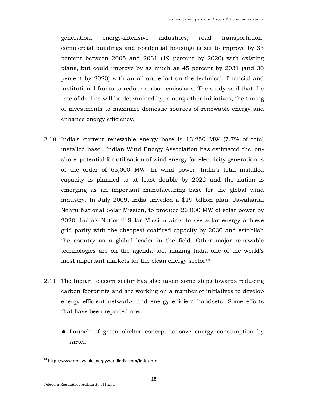generation, energy-intensive industries, road transportation, commercial buildings and residential housing) is set to improve by 33 percent between 2005 and 2031 (19 percent by 2020) with existing plans, but could improve by as much as 45 percent by 2031 (and 30 percent by 2020) with an all-out effort on the technical, financial and institutional fronts to reduce carbon emissions. The study said that the rate of decline will be determined by, among other initiatives, the timing of investments to maximize domestic sources of renewable energy and enhance energy efficiency.

- 2.10 India's current renewable energy base is 13,250 MW (7.7% of total installed base). Indian Wind Energy Association has estimated the 'onshore' potential for utilisation of wind energy for electricity generation is of the order of 65,000 MW. In wind power, India's total installed capacity is planned to at least double by 2022 and the nation is emerging as an important manufacturing base for the global wind industry. In July 2009, India unveiled a \$19 billion plan, Jawaharlal Nehru National Solar Mission, to produce 20,000 MW of solar power by 2020. India's National Solar Mission aims to see solar energy achieve grid parity with the cheapest coalfired capacity by 2030 and establish the country as a global leader in the field. Other major renewable technologies are on the agenda too, making India one of the world's most important markets for the clean energy sector $14$ .
- 2.11 The Indian telecom sector has also taken some steps towards reducing carbon footprints and are working on a number of initiatives to develop energy efficient networks and energy efficient handsets. Some efforts that have been reported are:
	- Launch of green shelter concept to save energy consumption by Airtel.

<sup>14</sup> http://www.renewableenergyworldindia.com/index.html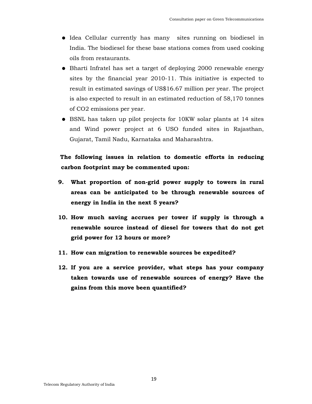- Idea Cellular currently has many sites running on biodiesel in India. The biodiesel for these base stations comes from used cooking oils from restaurants.
- Bharti Infratel has set a target of deploying 2000 renewable energy sites by the financial year 2010-11. This initiative is expected to result in estimated savings of US\$16.67 million per year. The project is also expected to result in an estimated reduction of 58,170 tonnes of CO2 emissions per year.
- BSNL has taken up pilot projects for 10KW solar plants at 14 sites and Wind power project at 6 USO funded sites in Rajasthan, Gujarat, Tamil Nadu, Karnataka and Maharashtra.

## **The following issues in relation to domestic efforts in reducing carbon footprint may be commented upon:**

- **9. What proportion of non-grid power supply to towers in rural areas can be anticipated to be through renewable sources of energy in India in the next 5 years?**
- **10. How much saving accrues per tower if supply is through a renewable source instead of diesel for towers that do not get grid power for 12 hours or more?**
- **11. How can migration to renewable sources be expedited?**
- **12. If you are a service provider, what steps has your company taken towards use of renewable sources of energy? Have the gains from this move been quantified?**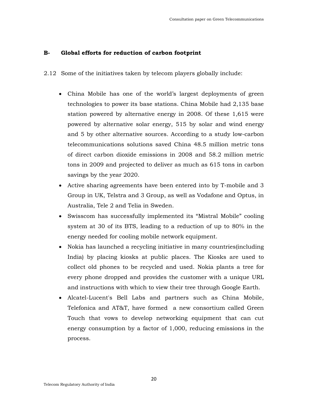### **B- Global efforts for reduction of carbon footprint**

- 2.12 Some of the initiatives taken by telecom players globally include:
	- China Mobile has one of the world's largest deployments of green technologies to power its base stations. China Mobile had 2,135 base station powered by alternative energy in 2008. Of these 1,615 were powered by alternative solar energy, 515 by solar and wind energy and 5 by other alternative sources. According to a study low-carbon telecommunications solutions saved China 48.5 million metric tons of direct carbon dioxide emissions in 2008 and 58.2 million metric tons in 2009 and projected to deliver as much as 615 tons in carbon savings by the year 2020.
	- Active sharing agreements have been entered into by T-mobile and 3 Group in UK, Telstra and 3 Group, as well as Vodafone and Optus, in Australia, Tele 2 and Telia in Sweden.
	- Swisscom has successfully implemented its "Mistral Mobile" cooling system at 30 of its BTS, leading to a reduction of up to 80% in the energy needed for cooling mobile network equipment.
	- Nokia has launched a recycling initiative in many countries(including India) by placing kiosks at public places. The Kiosks are used to collect old phones to be recycled and used. Nokia plants a tree for every phone dropped and provides the customer with a unique URL and instructions with which to view their tree through Google Earth.
	- Alcatel-Lucent's Bell Labs and partners such as China Mobile, Telefonica and AT&T, have formed a new consortium called Green Touch that vows to develop networking equipment that can cut energy consumption by a factor of 1,000, reducing emissions in the process.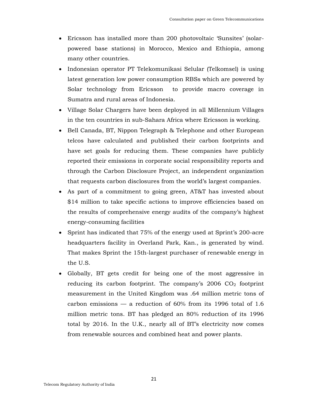- Ericsson has installed more than 200 photovoltaic 'Sunsites' (solarpowered base stations) in Morocco, Mexico and Ethiopia, among many other countries.
- Indonesian operator PT Telekomunikasi Selular (Telkomsel) is using latest generation low power consumption RBSs which are powered by Solar technology from Ericsson to provide macro coverage in Sumatra and rural areas of Indonesia.
- Village Solar Chargers have been deployed in all Millennium Villages in the ten countries in sub-Sahara Africa where Ericsson is working.
- Bell Canada, BT, Nippon Telegraph & Telephone and other European telcos have calculated and published their carbon footprints and have set goals for reducing them. These companies have publicly reported their emissions in corporate social responsibility reports and through the Carbon Disclosure Project, an independent organization that requests carbon disclosures from the world's largest companies.
- As part of a commitment to going green, AT&T has invested about \$14 million to take specific actions to improve efficiencies based on the results of comprehensive energy audits of the company's highest energy-consuming facilities
- Sprint has indicated that 75% of the energy used at Sprint's 200-acre headquarters facility in Overland Park, Kan., is generated by wind. That makes Sprint the 15th-largest purchaser of renewable energy in the U.S.
- Globally, BT gets credit for being one of the most aggressive in reducing its carbon footprint. The company's  $2006$  CO<sub>2</sub> footprint measurement in the United Kingdom was .64 million metric tons of carbon emissions — a reduction of  $60\%$  from its 1996 total of 1.6 million metric tons. BT has pledged an 80% reduction of its 1996 total by 2016. In the U.K., nearly all of BT's electricity now comes from renewable sources and combined heat and power plants.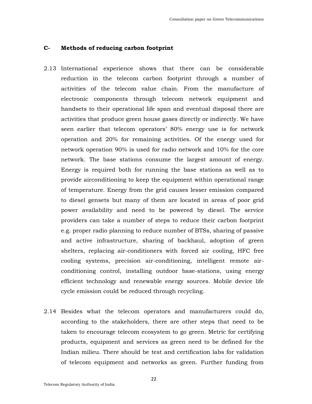### **C- Methods of reducing carbon footprint**

- 2.13 International experience shows that there can be considerable reduction in the telecom carbon footprint through a number of activities of the telecom value chain. From the manufacture of electronic components through telecom network equipment and handsets to their operational life span and eventual disposal there are activities that produce green house gases directly or indirectly. We have seen earlier that telecom operators' 80% energy use is for network operation and 20% for remaining activities. Of the energy used for network operation 90% is used for radio network and 10% for the core network. The base stations consume the largest amount of energy. Energy is required both for running the base stations as well as to provide airconditioning to keep the equipment within operational range of temperature. Energy from the grid causes lesser emission compared to diesel gensets but many of them are located in areas of poor grid power availability and need to be powered by diesel. The service providers can take a number of steps to reduce their carbon footprint e.g. proper radio planning to reduce number of BTSs, sharing of passive and active infrastructure, sharing of backhaul, adoption of green shelters, replacing air-conditioners with forced air cooling, HFC free cooling systems, precision air-conditioning, intelligent remote airconditioning control, installing outdoor base-stations, using energy efficient technology and renewable energy sources. Mobile device life cycle emission could be reduced through recycling.
- 2.14 Besides what the telecom operators and manufacturers could do, according to the stakeholders, there are other steps that need to be taken to encourage telecom ecosystem to go green. Metric for certifying products, equipment and services as green need to be defined for the Indian milieu. There should be test and certification labs for validation of telecom equipment and networks as green. Further funding from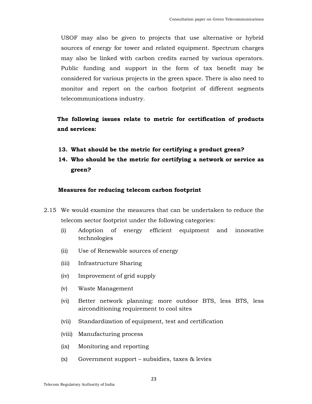USOF may also be given to projects that use alternative or hybrid sources of energy for tower and related equipment. Spectrum charges may also be linked with carbon credits earned by various operators. Public funding and support in the form of tax benefit may be considered for various projects in the green space. There is also need to monitor and report on the carbon footprint of different segments telecommunications industry.

**The following issues relate to metric for certification of products and services:** 

- **13. What should be the metric for certifying a product green?**
- **14. Who should be the metric for certifying a network or service as green?**

### **Measures for reducing telecom carbon footprint**

- 2.15 We would examine the measures that can be undertaken to reduce the telecom sector footprint under the following categories:
	- (i) Adoption of energy efficient equipment and innovative technologies
	- (ii) Use of Renewable sources of energy
	- (iii) Infrastructure Sharing
	- (iv) Improvement of grid supply
	- (v) Waste Management
	- (vi) Better network planning: more outdoor BTS, less BTS, less airconditioning requirement to cool sites
	- (vii) Standardization of equipment, test and certification
	- (viii) Manufacturing process
	- (ix) Monitoring and reporting
	- (x) Government support subsidies, taxes & levies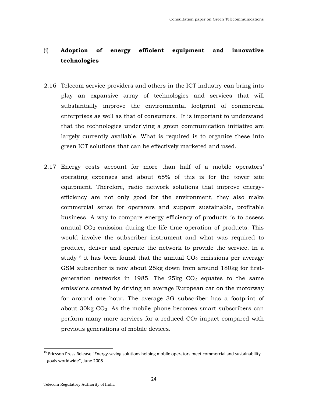# (i) **Adoption of energy efficient equipment and innovative technologies**

- 2.16 Telecom service providers and others in the ICT industry can bring into play an expansive array of technologies and services that will substantially improve the environmental footprint of commercial enterprises as well as that of consumers. It is important to understand that the technologies underlying a green communication initiative are largely currently available. What is required is to organize these into green ICT solutions that can be effectively marketed and used.
- 2.17 Energy costs account for more than half of a mobile operators' operating expenses and about 65% of this is for the tower site equipment. Therefore, radio network solutions that improve energyefficiency are not only good for the environment, they also make commercial sense for operators and support sustainable, profitable business. A way to compare energy efficiency of products is to assess annual  $CO<sub>2</sub>$  emission during the life time operation of products. This would involve the subscriber instrument and what was required to produce, deliver and operate the network to provide the service. In a study<sup>15</sup> it has been found that the annual  $CO<sub>2</sub>$  emissions per average GSM subscriber is now about 25kg down from around 180kg for firstgeneration networks in 1985. The 25kg  $CO<sub>2</sub>$  equates to the same emissions created by driving an average European car on the motorway for around one hour. The average 3G subscriber has a footprint of about  $30kg CO<sub>2</sub>$ . As the mobile phone becomes smart subscribers can perform many more services for a reduced  $CO<sub>2</sub>$  impact compared with previous generations of mobile devices.

<sup>&</sup>lt;sup>15</sup> Ericsson Press Release "Energy-saving solutions helping mobile operators meet commercial and sustainability goals worldwide", June 2008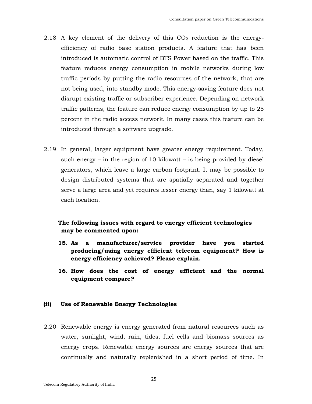- 2.18 A key element of the delivery of this  $CO<sub>2</sub>$  reduction is the energyefficiency of radio base station products. A feature that has been introduced is automatic control of BTS Power based on the traffic. This feature reduces energy consumption in mobile networks during low traffic periods by putting the radio resources of the network, that are not being used, into standby mode. This energy-saving feature does not disrupt existing traffic or subscriber experience. Depending on network traffic patterns, the feature can reduce energy consumption by up to 25 percent in the radio access network. In many cases this feature can be introduced through a software upgrade.
- 2.19 In general, larger equipment have greater energy requirement. Today, such energy – in the region of 10 kilowatt – is being provided by diesel generators, which leave a large carbon footprint. It may be possible to design distributed systems that are spatially separated and together serve a large area and yet requires lesser energy than, say 1 kilowatt at each location.

### **The following issues with regard to energy efficient technologies may be commented upon:**

- **15. As a manufacturer/service provider have you started producing/using energy efficient telecom equipment? How is energy efficiency achieved? Please explain.**
- **16. How does the cost of energy efficient and the normal equipment compare?**

### **(ii) Use of Renewable Energy Technologies**

2.20 Renewable energy is energy generated from natural resources such as water, sunlight, wind, rain, tides, fuel cells and biomass sources as energy crops. Renewable energy sources are energy sources that are continually and naturally replenished in a short period of time. In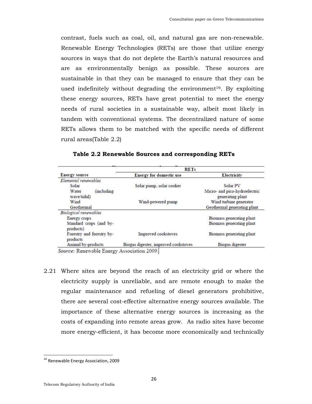contrast, fuels such as coal, oil, and natural gas are non-renewable. Renewable Energy Technologies (RETs) are those that utilize energy sources in ways that do not deplete the Earth's natural resources and are as environmentally benign as possible. These sources are sustainable in that they can be managed to ensure that they can be used indefinitely without degrading the environment<sup>16</sup>. By exploiting these energy sources, RETs have great potential to meet the energy needs of rural societies in a sustainable way, albeit most likely in tandem with conventional systems. The decentralized nature of some RETs allows them to be matched with the specific needs of different rural areas(Table 2.2)

|                                       | <b>RETs</b>                          |                               |  |
|---------------------------------------|--------------------------------------|-------------------------------|--|
| Energy source                         | <b>Energy for domestic use</b>       | Electricity                   |  |
| Elemental renewables                  |                                      |                               |  |
| Solar                                 | Solar pump, solar cooker             | Solar PV                      |  |
| (including<br>Water                   |                                      | Micro- and pico-hydroelectric |  |
| wave/tidal)                           |                                      | generating plant              |  |
| Wind                                  | Wind-powered pump                    | Wind turbine generator        |  |
| Geothermal                            |                                      | Geothermal generating plant   |  |
| Biological renewables                 |                                      |                               |  |
| Energy crops                          |                                      | Biomass generating plant      |  |
| Standard crops (and by-<br>products)  |                                      | Biomass generating plant      |  |
| Forestry and forestry by-<br>products | Improved cookstoves                  | Biomass generating plant      |  |
| Animal by-products                    | Biogas digester, improved cookstoves | Biogas digester               |  |

**Table 2.2 Renewable Sources and corresponding RETs** 

Source: Renewable Energy Association 2009.

2.21 Where sites are beyond the reach of an electricity grid or where the electricity supply is unreliable, and are remote enough to make the regular maintenance and refueling of diesel generators prohibitive, there are several cost-effective alternative energy sources available. The importance of these alternative energy sources is increasing as the costs of expanding into remote areas grow. As radio sites have become more energy-efficient, it has become more economically and technically

<sup>&</sup>lt;sup>16</sup> Renewable Energy Association, 2009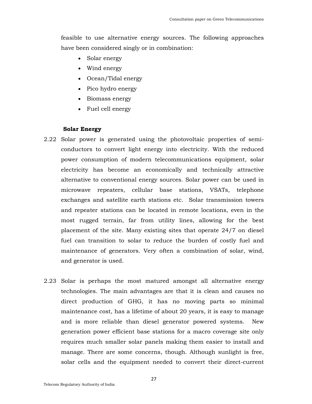feasible to use alternative energy sources. The following approaches have been considered singly or in combination:

- Solar energy
- Wind energy
- Ocean/Tidal energy
- Pico hydro energy
- Biomass energy
- Fuel cell energy

### **Solar Energy**

- 2.22 Solar power is generated using the photovoltaic properties of semiconductors to convert light energy into electricity. With the reduced power consumption of modern telecommunications equipment, solar electricity has become an economically and technically attractive alternative to conventional energy sources. Solar power can be used in microwave repeaters, cellular base stations, VSATs, telephone exchanges and satellite earth stations etc. Solar transmission towers and repeater stations can be located in remote locations, even in the most rugged terrain, far from utility lines, allowing for the best placement of the site. Many existing sites that operate 24/7 on diesel fuel can transition to solar to reduce the burden of costly fuel and maintenance of generators. Very often a combination of solar, wind, and generator is used.
- 2.23 Solar is perhaps the most matured amongst all alternative energy technologies. The main advantages are that it is clean and causes no direct production of GHG, it has no moving parts so minimal maintenance cost, has a lifetime of about 20 years, it is easy to manage and is more reliable than diesel generator powered systems. New generation power efficient base stations for a macro coverage site only requires much smaller solar panels making them easier to install and manage. There are some concerns, though. Although sunlight is free, solar cells and the equipment needed to convert their direct-current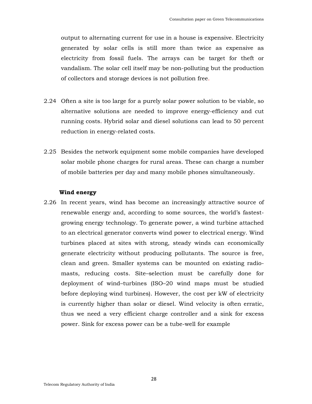output to alternating current for use in a house is expensive. Electricity generated by solar cells is still more than twice as expensive as electricity from fossil fuels. The arrays can be target for theft or vandalism. The solar cell itself may be non-polluting but the production of collectors and storage devices is not pollution free.

- 2.24 Often a site is too large for a purely solar power solution to be viable, so alternative solutions are needed to improve energy-efficiency and cut running costs. Hybrid solar and diesel solutions can lead to 50 percent reduction in energy-related costs.
- 2.25 Besides the network equipment some mobile companies have developed solar mobile phone charges for rural areas. These can charge a number of mobile batteries per day and many mobile phones simultaneously.

### **Wind energy**

2.26 In recent years, wind has become an increasingly attractive source of renewable energy and, according to some sources, the world's fastestgrowing energy technology. To generate power, a wind turbine attached to an electrical generator converts wind power to electrical energy. Wind turbines placed at sites with strong, steady winds can economically generate electricity without producing pollutants. The source is free, clean and green. Smaller systems can be mounted on existing radiomasts, reducing costs. Site–selection must be carefully done for deployment of wind–turbines (ISO–20 wind maps must be studied before deploying wind turbines). However, the cost per kW of electricity is currently higher than solar or diesel. Wind velocity is often erratic, thus we need a very efficient charge controller and a sink for excess power. Sink for excess power can be a tube-well for example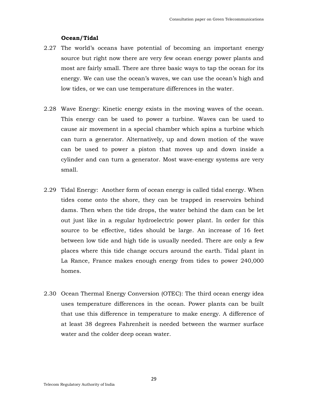### **Ocean/Tidal**

- 2.27 The world's oceans have potential of becoming an important energy source but right now there are very few ocean energy power plants and most are fairly small. There are three basic ways to tap the ocean for its energy. We can use the ocean's waves, we can use the ocean's high and low tides, or we can use temperature differences in the water.
- 2.28 Wave Energy: Kinetic energy exists in the moving waves of the ocean. This energy can be used to power a turbine. Waves can be used to cause air movement in a special chamber which spins a turbine which can turn a generator. Alternatively, up and down motion of the wave can be used to power a piston that moves up and down inside a cylinder and can turn a generator. Most wave-energy systems are very small.
- 2.29 Tidal Energy: Another form of ocean energy is called tidal energy. When tides come onto the shore, they can be trapped in reservoirs behind dams. Then when the tide drops, the water behind the dam can be let out just like in a regular hydroelectric power plant. In order for this source to be effective, tides should be large. An increase of 16 feet between low tide and high tide is usually needed. There are only a few places where this tide change occurs around the earth. Tidal plant in La Rance, France makes enough energy from tides to power 240,000 homes.
- 2.30 Ocean Thermal Energy Conversion (OTEC): The third ocean energy idea uses temperature differences in the ocean. Power plants can be built that use this difference in temperature to make energy. A difference of at least 38 degrees Fahrenheit is needed between the warmer surface water and the colder deep ocean water.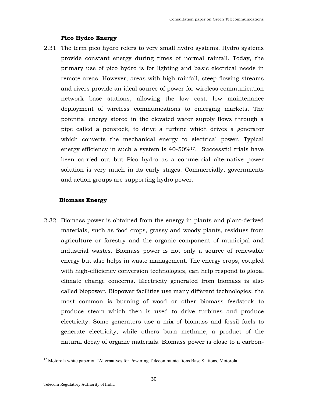### **Pico Hydro Energy**

2.31 The term pico hydro refers to very small hydro systems. Hydro systems provide constant energy during times of normal rainfall. Today, the primary use of pico hydro is for lighting and basic electrical needs in remote areas. However, areas with high rainfall, steep flowing streams and rivers provide an ideal source of power for wireless communication network base stations, allowing the low cost, low maintenance deployment of wireless communications to emerging markets. The potential energy stored in the elevated water supply flows through a pipe called a penstock, to drive a turbine which drives a generator which converts the mechanical energy to electrical power. Typical energy efficiency in such a system is  $40-50\frac{1}{7}$ . Successful trials have been carried out but Pico hydro as a commercial alternative power solution is very much in its early stages. Commercially, governments and action groups are supporting hydro power.

### **Biomass Energy**

2.32 Biomass power is obtained from the energy in plants and plant-derived materials, such as food crops, grassy and woody plants, residues from agriculture or forestry and the organic component of municipal and industrial wastes. Biomass power is not only a source of renewable energy but also helps in waste management. The energy crops, coupled with high-efficiency conversion technologies, can help respond to global climate change concerns. Electricity generated from biomass is also called biopower. Biopower facilities use many different technologies; the most common is burning of wood or other biomass feedstock to produce steam which then is used to drive turbines and produce electricity. Some generators use a mix of biomass and fossil fuels to generate electricity, while others burn methane, a product of the natural decay of organic materials. Biomass power is close to a carbon-

 $\overline{\phantom{a}}$ 

<sup>&</sup>lt;sup>17</sup> Motorola white paper on "Alternatives for Powering Telecommunications Base Stations, Motorola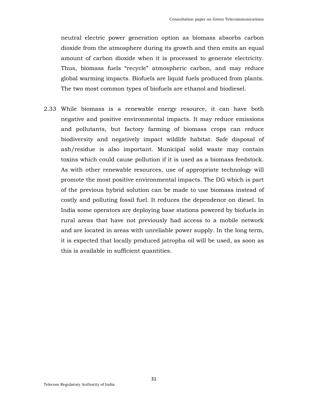neutral electric power generation option as biomass absorbs carbon dioxide from the atmosphere during its growth and then emits an equal amount of carbon dioxide when it is processed to generate electricity. Thus, biomass fuels "recycle" atmospheric carbon, and may reduce global warming impacts. Biofuels are liquid fuels produced from plants. The two most common types of biofuels are ethanol and biodiesel.

2.33 While biomass is a renewable energy resource, it can have both negative and positive environmental impacts. It may reduce emissions and pollutants, but factory farming of biomass crops can reduce biodiversity and negatively impact wildlife habitat. Safe disposal of ash/residue is also important. Municipal solid waste may contain toxins which could cause pollution if it is used as a biomass feedstock. As with other renewable resources, use of appropriate technology will promote the most positive environmental impacts. The DG which is part of the previous hybrid solution can be made to use biomass instead of costly and polluting fossil fuel. It reduces the dependence on diesel. In India some operators are deploying base stations powered by biofuels in rural areas that have not previously had access to a mobile network and are located in areas with unreliable power supply. In the long term, it is expected that locally produced jatropha oil will be used, as soon as this is available in sufficient quantities.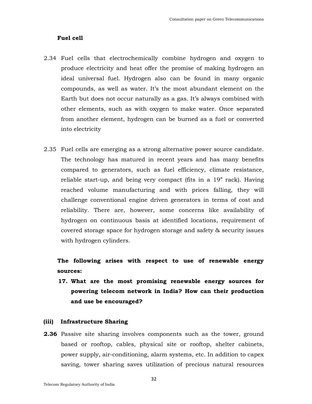#### **Fuel cell**

- 2.34 Fuel cells that electrochemically combine hydrogen and oxygen to produce electricity and heat offer the promise of making hydrogen an ideal universal fuel. Hydrogen also can be found in many organic compounds, as well as water. It's the most abundant element on the Earth but does not occur naturally as a gas. It's always combined with other elements, such as with oxygen to make water. Once separated from another element, hydrogen can be burned as a fuel or converted into electricity
- 2.35 Fuel cells are emerging as a strong alternative power source candidate. The technology has matured in recent years and has many benefits compared to generators, such as fuel efficiency, climate resistance, reliable start-up, and being very compact (fits in a 19" rack). Having reached volume manufacturing and with prices falling, they will challenge conventional engine driven generators in terms of cost and reliability. There are, however, some concerns like availability of hydrogen on continuous basis at identified locations, requirement of covered storage space for hydrogen storage and safety & security issues with hydrogen cylinders.

**The following arises with respect to use of renewable energy sources:** 

**17. What are the most promising renewable energy sources for powering telecom network in India? How can their production and use be encouraged?** 

### **(iii) Infrastructure Sharing**

**2.36** Passive site sharing involves components such as the tower, ground based or rooftop, cables, physical site or rooftop, shelter cabinets, power supply, air-conditioning, alarm systems, etc. In addition to capex saving, tower sharing saves utilization of precious natural resources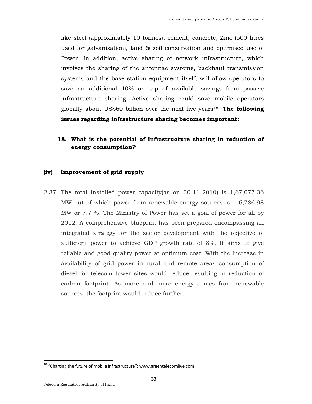like steel (approximately 10 tonnes), cement, concrete, Zinc (500 litres used for galvanization), land & soil conservation and optimised use of Power. In addition, active sharing of network infrastructure, which involves the sharing of the antennae systems, backhaul transmission systems and the base station equipment itself, will allow operators to save an additional 40% on top of available savings from passive infrastructure sharing. Active sharing could save mobile operators globally about US\$60 billion over the next five years18. **The following issues regarding infrastructure sharing becomes important:** 

### **18. What is the potential of infrastructure sharing in reduction of energy consumption?**

### **(iv) Improvement of grid supply**

2.37 The total installed power capacity(as on 30-11-2010) is 1,67,077.36 MW out of which power from renewable energy sources is 16,786.98 MW or 7.7 %. The Ministry of Power has set a goal of power for all by 2012. A comprehensive blueprint has been prepared encompassing an integrated strategy for the sector development with the objective of sufficient power to achieve GDP growth rate of 8%. It aims to give reliable and good quality power at optimum cost. With the increase in availability of grid power in rural and remote areas consumption of diesel for telecom tower sites would reduce resulting in reduction of carbon footprint. As more and more energy comes from renewable sources, the footprint would reduce further.

 $^{18}$  "Charting the future of mobile infrastructure"; www.greentelecomlive.com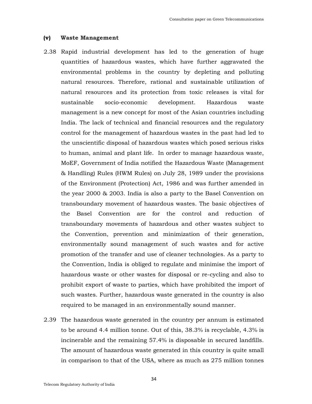#### **(v) Waste Management**

- 2.38 Rapid industrial development has led to the generation of huge quantities of hazardous wastes, which have further aggravated the environmental problems in the country by depleting and polluting natural resources. Therefore, rational and sustainable utilization of natural resources and its protection from toxic releases is vital for sustainable socio-economic development. Hazardous waste management is a new concept for most of the Asian countries including India. The lack of technical and financial resources and the regulatory control for the management of hazardous wastes in the past had led to the unscientific disposal of hazardous wastes which posed serious risks to human, animal and plant life. In order to manage hazardous waste, MoEF, Government of India notified the Hazardous Waste (Management & Handling) Rules (HWM Rules) on July 28, 1989 under the provisions of the Environment (Protection) Act, 1986 and was further amended in the year 2000 & 2003. India is also a party to the Basel Convention on transboundary movement of hazardous wastes. The basic objectives of the Basel Convention are for the control and reduction of transboundary movements of hazardous and other wastes subject to the Convention, prevention and minimization of their generation, environmentally sound management of such wastes and for active promotion of the transfer and use of cleaner technologies. As a party to the Convention, India is obliged to regulate and minimise the import of hazardous waste or other wastes for disposal or re-cycling and also to prohibit export of waste to parties, which have prohibited the import of such wastes. Further, hazardous waste generated in the country is also required to be managed in an environmentally sound manner.
- 2.39 The hazardous waste generated in the country per annum is estimated to be around 4.4 million tonne. Out of this, 38.3% is recyclable, 4.3% is incinerable and the remaining 57.4% is disposable in secured landfills. The amount of hazardous waste generated in this country is quite small in comparison to that of the USA, where as much as 275 million tonnes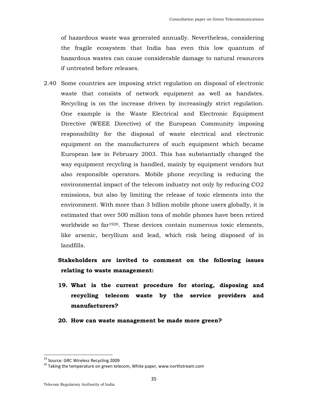of hazardous waste was generated annually. Nevertheless, considering the fragile ecosystem that India has even this low quantum of hazardous wastes can cause considerable damage to natural resources if untreated before releases.

2.40 Some countries are imposing strict regulation on disposal of electronic waste that consists of network equipment as well as handstes. Recycling is on the increase driven by increasingly strict regulation. One example is the Waste Electrical and Electronic Equipment Directive (WEEE Directive) of the European Community imposing responsibility for the disposal of waste electrical and electronic equipment on the manufacturers of such equipment which became European law in February 2003. This has substantially changed the way equipment recycling is handled, mainly by equipment vendors but also responsible operators. Mobile phone recycling is reducing the environmental impact of the telecom industry not only by reducing CO2 emissions, but also by limiting the release of toxic elements into the environment. With more than 3 billion mobile phone users globally, it is estimated that over 500 million tons of mobile phones have been retired worldwide so far<sup>1920</sup>. These devices contain numerous toxic elements, like arsenic, beryllium and lead, which risk being disposed of in landfills.

**Stakeholders are invited to comment on the following issues relating to waste management:** 

- **19. What is the current procedure for storing, disposing and recycling telecom waste by the service providers and manufacturers?**
- **20. How can waste management be made more green?**

<sup>19</sup> Source: GRC Wireless Recycling 2009

 $20$  Taking the temperature on green telecom, White paper, www.northstream.com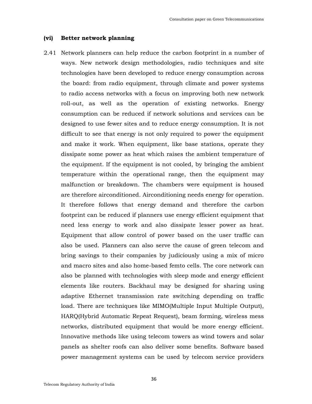### **(vi) Better network planning**

2.41 Network planners can help reduce the carbon footprint in a number of ways. New network design methodologies, radio techniques and site technologies have been developed to reduce energy consumption across the board: from radio equipment, through climate and power systems to radio access networks with a focus on improving both new network roll-out, as well as the operation of existing networks. Energy consumption can be reduced if network solutions and services can be designed to use fewer sites and to reduce energy consumption. It is not difficult to see that energy is not only required to power the equipment and make it work. When equipment, like base stations, operate they dissipate some power as heat which raises the ambient temperature of the equipment. If the equipment is not cooled, by bringing the ambient temperature within the operational range, then the equipment may malfunction or breakdown. The chambers were equipment is housed are therefore airconditioned. Airconditioning needs energy for operation. It therefore follows that energy demand and therefore the carbon footprint can be reduced if planners use energy efficient equipment that need less energy to work and also dissipate lesser power as heat. Equipment that allow control of power based on the user traffic can also be used. Planners can also serve the cause of green telecom and bring savings to their companies by judiciously using a mix of micro and macro sites and also home-based femto cells. The core network can also be planned with technologies with sleep mode and energy efficient elements like routers. Backhaul may be designed for sharing using adaptive Ethernet transmission rate switching depending on traffic load. There are techniques like MIMO(Multiple Input Multiple Output), HARQ(Hybrid Automatic Repeat Request), beam forming, wireless mess networks, distributed equipment that would be more energy efficient. Innovative methods like using telecom towers as wind towers and solar panels as shelter roofs can also deliver some benefits. Software based power management systems can be used by telecom service providers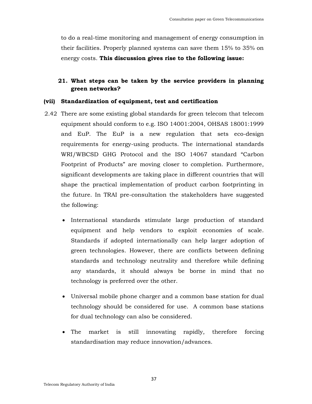to do a real-time monitoring and management of energy consumption in their facilities. Properly planned systems can save them 15% to 35% on energy costs. **This discussion gives rise to the following issue:** 

### **21. What steps can be taken by the service providers in planning green networks?**

### **(vii) Standardization of equipment, test and certification**

- 2.42 There are some existing global standards for green telecom that telecom equipment should conform to e.g. ISO 14001:2004, OHSAS 18001:1999 and EuP. The EuP is a new regulation that sets eco-design requirements for energy-using products. The international standards WRI/WBCSD GHG Protocol and the ISO 14067 standard "Carbon Footprint of Products" are moving closer to completion. Furthermore, significant developments are taking place in different countries that will shape the practical implementation of product carbon footprinting in the future. In TRAI pre-consultation the stakeholders have suggested the following:
	- International standards stimulate large production of standard equipment and help vendors to exploit economies of scale. Standards if adopted internationally can help larger adoption of green technologies. However, there are conflicts between defining standards and technology neutrality and therefore while defining any standards, it should always be borne in mind that no technology is preferred over the other.
	- Universal mobile phone charger and a common base station for dual technology should be considered for use. A common base stations for dual technology can also be considered.
	- The market is still innovating rapidly, therefore forcing standardisation may reduce innovation/advances.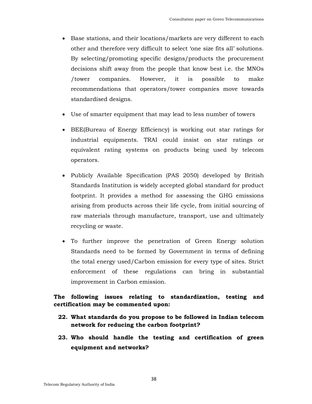- Base stations, and their locations/markets are very different to each other and therefore very difficult to select 'one size fits all' solutions. By selecting/promoting specific designs/products the procurement decisions shift away from the people that know best i.e. the MNOs /tower companies. However, it is possible to make recommendations that operators/tower companies move towards standardised designs.
- Use of smarter equipment that may lead to less number of towers
- BEE(Bureau of Energy Efficiency) is working out star ratings for industrial equipments. TRAI could insist on star ratings or equivalent rating systems on products being used by telecom operators.
- Publicly Available Specification (PAS 2050) developed by British Standards Institution is widely accepted global standard for product footprint. It provides a method for assessing the GHG emissions arising from products across their life cycle, from initial sourcing of raw materials through manufacture, transport, use and ultimately recycling or waste.
- To further improve the penetration of Green Energy solution Standards need to be formed by Government in terms of defining the total energy used/Carbon emission for every type of sites. Strict enforcement of these regulations can bring in substantial improvement in Carbon emission.

### **The following issues relating to standardization, testing and certification may be commented upon:**

- **22. What standards do you propose to be followed in Indian telecom network for reducing the carbon footprint?**
- **23. Who should handle the testing and certification of green equipment and networks?**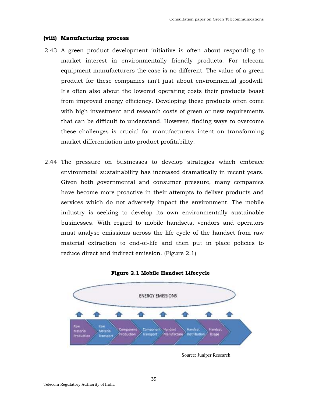#### **(viii) Manufacturing process**

- 2.43 A green product development initiative is often about responding to market interest in environmentally friendly products. For telecom equipment manufacturers the case is no different. The value of a green product for these companies isn't just about environmental goodwill. It's often also about the lowered operating costs their products boast from improved energy efficiency. Developing these products often come with high investment and research costs of green or new requirements that can be difficult to understand. However, finding ways to overcome these challenges is crucial for manufacturers intent on transforming market differentiation into product profitability.
- 2.44 The pressure on businesses to develop strategies which embrace environmetal sustainability has increased dramatically in recent years. Given both governmental and consumer pressure, many companies have become more proactive in their attempts to deliver products and services which do not adversely impact the environment. The mobile industry is seeking to develop its own environmentally sustainable businesses. With regard to mobile handsets, vendors and operators must analyse emissions across the life cycle of the handset from raw material extraction to end-of-life and then put in place policies to reduce direct and indirect emission. (Figure 2.1)



**Figure 2.1 Mobile Handset Lifecycle**

Source: Juniper Research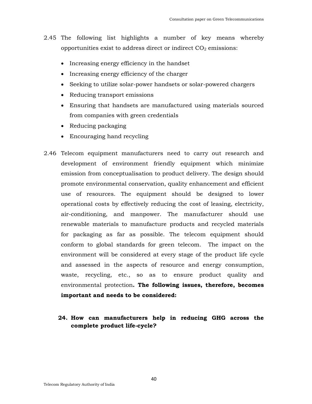- 2.45 The following list highlights a number of key means whereby opportunities exist to address direct or indirect  $CO<sub>2</sub>$  emissions:
	- Increasing energy efficiency in the handset
	- Increasing energy efficiency of the charger
	- Seeking to utilize solar-power handsets or solar-powered chargers
	- Reducing transport emissions
	- Ensuring that handsets are manufactured using materials sourced from companies with green credentials
	- Reducing packaging
	- Encouraging hand recycling
- 2.46 Telecom equipment manufacturers need to carry out research and development of environment friendly equipment which minimize emission from conceptualisation to product delivery. The design should promote environmental conservation, quality enhancement and efficient use of resources. The equipment should be designed to lower operational costs by effectively reducing the cost of leasing, electricity, air-conditioning, and manpower. The manufacturer should use renewable materials to manufacture products and recycled materials for packaging as far as possible. The telecom equipment should conform to global standards for green telecom. The impact on the environment will be considered at every stage of the product life cycle and assessed in the aspects of resource and energy consumption, waste, recycling, etc., so as to ensure product quality and environmental protection**. The following issues, therefore, becomes important and needs to be considered:**

### **24. How can manufacturers help in reducing GHG across the complete product life-cycle?**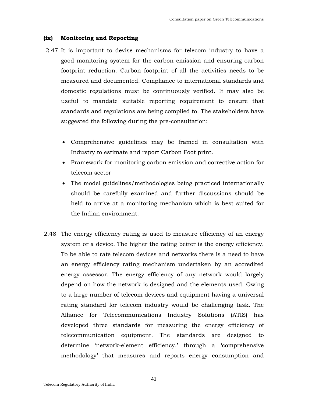### **(ix) Monitoring and Reporting**

- 2.47 It is important to devise mechanisms for telecom industry to have a good monitoring system for the carbon emission and ensuring carbon footprint reduction. Carbon footprint of all the activities needs to be measured and documented. Compliance to international standards and domestic regulations must be continuously verified. It may also be useful to mandate suitable reporting requirement to ensure that standards and regulations are being complied to. The stakeholders have suggested the following during the pre-consultation:
	- Comprehensive guidelines may be framed in consultation with Industry to estimate and report Carbon Foot print.
	- Framework for monitoring carbon emission and corrective action for telecom sector
	- The model guidelines/methodologies being practiced internationally should be carefully examined and further discussions should be held to arrive at a monitoring mechanism which is best suited for the Indian environment.
- 2.48 The energy efficiency rating is used to measure efficiency of an energy system or a device. The higher the rating better is the energy efficiency. To be able to rate telecom devices and networks there is a need to have an energy efficiency rating mechanism undertaken by an accredited energy assessor. The energy efficiency of any network would largely depend on how the network is designed and the elements used. Owing to a large number of telecom devices and equipment having a universal rating standard for telecom industry would be challenging task. The Alliance for Telecommunications Industry Solutions (ATIS) has developed three standards for measuring the energy efficiency of telecommunication equipment. The standards are designed to determine 'network-element efficiency,' through a 'comprehensive methodology' that measures and reports energy consumption and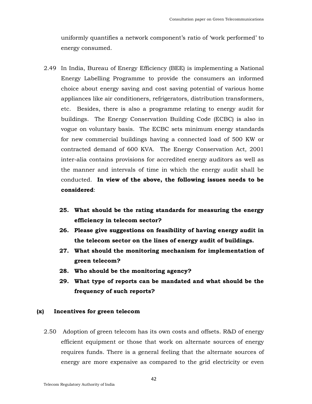uniformly quantifies a network component's ratio of 'work performed' to energy consumed.

- 2.49 In India, Bureau of Energy Efficiency (BEE) is implementing a National Energy Labelling Programme to provide the consumers an informed choice about energy saving and cost saving potential of various home appliances like air conditioners, refrigerators, distribution transformers, etc. Besides, there is also a programme relating to energy audit for buildings. The Energy Conservation Building Code (ECBC) is also in vogue on voluntary basis. The ECBC sets minimum energy standards for new commercial buildings having a connected load of 500 KW or contracted demand of 600 KVA. The Energy Conservation Act, 2001 inter-alia contains provisions for accredited energy auditors as well as the manner and intervals of time in which the energy audit shall be conducted. **In view of the above, the following issues needs to be considered**:
	- **25. What should be the rating standards for measuring the energy efficiency in telecom sector?**
	- **26. Please give suggestions on feasibility of having energy audit in the telecom sector on the lines of energy audit of buildings.**
	- **27. What should the monitoring mechanism for implementation of green telecom?**
	- **28. Who should be the monitoring agency?**
	- **29. What type of reports can be mandated and what should be the frequency of such reports?**

### **(x) Incentives for green telecom**

2.50 Adoption of green telecom has its own costs and offsets. R&D of energy efficient equipment or those that work on alternate sources of energy requires funds. There is a general feeling that the alternate sources of energy are more expensive as compared to the grid electricity or even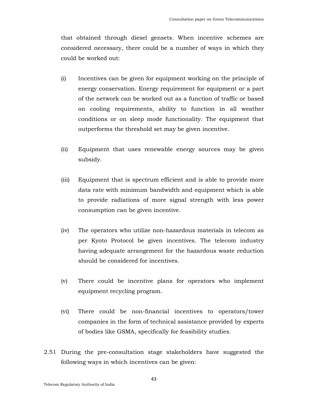that obtained through diesel gensets. When incentive schemes are considered necessary, there could be a number of ways in which they could be worked out:

- (i) Incentives can be given for equipment working on the principle of energy conservation. Energy requirement for equipment or a part of the network can be worked out as a function of traffic or based on cooling requirements, ability to function in all weather conditions or on sleep mode functionality. The equipment that outperforms the threshold set may be given incentive.
- (ii) Equipment that uses renewable energy sources may be given subsidy.
- (iii) Equipment that is spectrum efficient and is able to provide more data rate with minimum bandwidth and equipment which is able to provide radiations of more signal strength with less power consumption can be given incentive.
- (iv) The operators who utilize non-hazardous materials in telecom as per Kyoto Protocol be given incentives. The telecom industry having adequate arrangement for the hazardous waste reduction should be considered for incentives.
- (v) There could be incentive plans for operators who implement equipment recycling program.
- (vi) There could be non-financial incentives to operators/tower companies in the form of technical assistance provided by experts of bodies like GSMA, specifically for feasibility studies.
- 2.51 During the pre-consultation stage stakeholders have suggested the following ways in which incentives can be given: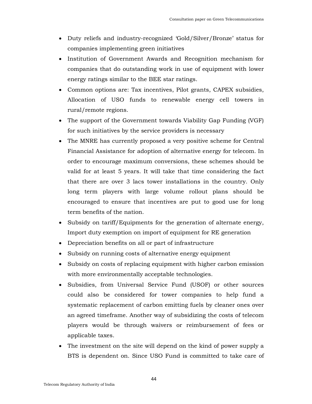- Duty reliefs and industry-recognized 'Gold/Silver/Bronze' status for companies implementing green initiatives
- Institution of Government Awards and Recognition mechanism for companies that do outstanding work in use of equipment with lower energy ratings similar to the BEE star ratings.
- Common options are: Tax incentives, Pilot grants, CAPEX subsidies, Allocation of USO funds to renewable energy cell towers in rural/remote regions.
- The support of the Government towards Viability Gap Funding (VGF) for such initiatives by the service providers is necessary
- The MNRE has currently proposed a very positive scheme for Central Financial Assistance for adoption of alternative energy for telecom. In order to encourage maximum conversions, these schemes should be valid for at least 5 years. It will take that time considering the fact that there are over 3 lacs tower installations in the country. Only long term players with large volume rollout plans should be encouraged to ensure that incentives are put to good use for long term benefits of the nation.
- Subsidy on tariff/Equipments for the generation of alternate energy, Import duty exemption on import of equipment for RE generation
- Depreciation benefits on all or part of infrastructure
- Subsidy on running costs of alternative energy equipment
- Subsidy on costs of replacing equipment with higher carbon emission with more environmentally acceptable technologies.
- Subsidies, from Universal Service Fund (USOF) or other sources could also be considered for tower companies to help fund a systematic replacement of carbon emitting fuels by cleaner ones over an agreed timeframe. Another way of subsidizing the costs of telecom players would be through waivers or reimbursement of fees or applicable taxes.
- The investment on the site will depend on the kind of power supply a BTS is dependent on. Since USO Fund is committed to take care of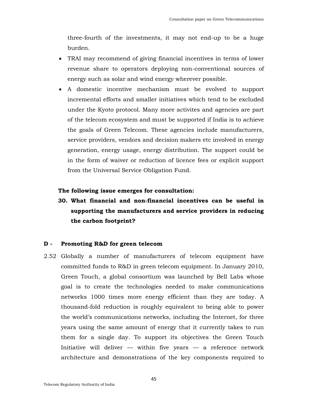three-fourth of the investments, it may not end-up to be a huge burden.

- TRAI may recommend of giving financial incentives in terms of lower revenue share to operators deploying non-conventional sources of energy such as solar and wind energy wherever possible.
- A domestic incentive mechanism must be evolved to support incremental efforts and smaller initiatives which tend to be excluded under the Kyoto protocol. Many more activites and agencies are part of the telecom ecosystem and must be supported if India is to achieve the goals of Green Telecom. These agencies include manufacturers, service providers, vendors and decision makers etc involved in energy generation, energy usage, energy distribution. The support could be in the form of waiver or reduction of licence fees or explicit support from the Universal Service Obligation Fund.

### **The following issue emerges for consultation:**

**30. What financial and non-financial incentives can be useful in supporting the manufacturers and service providers in reducing the carbon footprint?** 

### **D - Promoting R&D for green telecom**

2.52 Globally a number of manufacturers of telecom equipment have committed funds to R&D in green telecom equipment. In January 2010, Green Touch, a global consortium was launched by Bell Labs whose goal is to create the technologies needed to make communications networks 1000 times more energy efficient than they are today. A thousand-fold reduction is roughly equivalent to being able to power the world's communications networks, including the Internet, for three years using the same amount of energy that it currently takes to run them for a single day. To support its objectives the Green Touch Initiative will deliver  $-$  within five years  $-$  a reference network architecture and demonstrations of the key components required to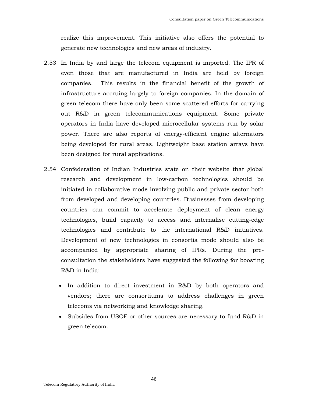realize this improvement. This initiative also offers the potential to generate new technologies and new areas of industry.

- 2.53 In India by and large the telecom equipment is imported. The IPR of even those that are manufactured in India are held by foreign companies. This results in the financial benefit of the growth of infrastructure accruing largely to foreign companies. In the domain of green telecom there have only been some scattered efforts for carrying out R&D in green telecommunications equipment. Some private operators in India have developed microcellular systems run by solar power. There are also reports of energy-efficient engine alternators being developed for rural areas. Lightweight base station arrays have been designed for rural applications.
- 2.54 Confederation of Indian Industries state on their website that global research and development in low-carbon technologies should be initiated in collaborative mode involving public and private sector both from developed and developing countries. Businesses from developing countries can commit to accelerate deployment of clean energy technologies, build capacity to access and internalise cutting-edge technologies and contribute to the international R&D initiatives. Development of new technologies in consortia mode should also be accompanied by appropriate sharing of IPRs. During the preconsultation the stakeholders have suggested the following for boosting R&D in India:
	- In addition to direct investment in R&D by both operators and vendors; there are consortiums to address challenges in green telecoms via networking and knowledge sharing.
	- Subsides from USOF or other sources are necessary to fund R&D in green telecom.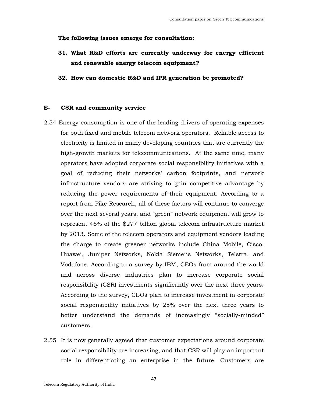### **The following issues emerge for consultation:**

- **31. What R&D efforts are currently underway for energy efficient and renewable energy telecom equipment?**
- **32. How can domestic R&D and IPR generation be promoted?**

### **E- CSR and community service**

- 2.54 Energy consumption is one of the leading drivers of operating expenses for both fixed and mobile telecom network operators. Reliable access to electricity is limited in many developing countries that are currently the high-growth markets for telecommunications. At the same time, many operators have adopted corporate social responsibility initiatives with a goal of reducing their networks' carbon footprints, and network infrastructure vendors are striving to gain competitive advantage by reducing the power requirements of their equipment. According to a report from Pike Research, all of these factors will continue to converge over the next several years, and "green" network equipment will grow to represent 46% of the \$277 billion global telecom infrastructure market by 2013. Some of the telecom operators and equipment vendors leading the charge to create greener networks include China Mobile, Cisco, Huawei, Juniper Networks, Nokia Siemens Networks, Telstra, and Vodafone. According to a survey by IBM, CEOs from around the world and across diverse industries plan to increase corporate social responsibility (CSR) investments significantly over the next three years**.**  According to the survey, CEOs plan to increase investment in corporate social responsibility initiatives by 25% over the next three years to better understand the demands of increasingly "socially-minded" customers.
- 2.55 It is now generally agreed that customer expectations around corporate social responsibility are increasing, and that CSR will play an important role in differentiating an enterprise in the future. Customers are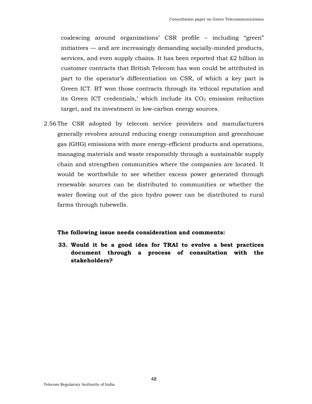coalescing around organizations' CSR profile – including "green" initiatives — and are increasingly demanding socially-minded products, services, and even supply chains. It has been reported that  $\&2$  billion in customer contracts that British Telecom has won could be attributed in part to the operator's differentiation on CSR, of which a key part is Green ICT. BT won those contracts through its 'ethical reputation and its Green ICT credentials,' which include its  $CO<sub>2</sub>$  emission reduction target, and its investment in low-carbon energy sources.

2.56 The CSR adopted by telecom service providers and manufacturers generally revolves around reducing energy consumption and greenhouse gas (GHG) emissions with more energy-efficient products and operations, managing materials and waste responsibly through a sustainable supply chain and strengthen communities where the companies are located. It would be worthwhile to see whether excess power generated through renewable sources can be distributed to communities or whether the water flowing out of the pico hydro power can be distributed to rural farms through tubewells.

#### **The following issue needs consideration and comments:**

**33. Would it be a good idea for TRAI to evolve a best practices document through a process of consultation with the stakeholders?**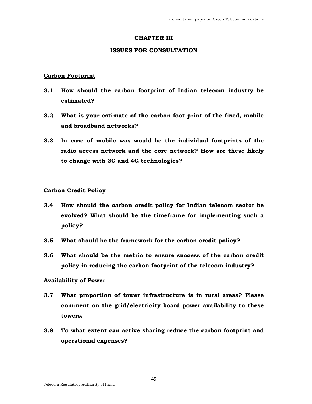### **CHAPTER III**

### **ISSUES FOR CONSULTATION**

### **Carbon Footprint**

- **3.1 How should the carbon footprint of Indian telecom industry be estimated?**
- **3.2 What is your estimate of the carbon foot print of the fixed, mobile and broadband networks?**
- **3.3 In case of mobile was would be the individual footprints of the radio access network and the core network? How are these likely to change with 3G and 4G technologies?**

### **Carbon Credit Policy**

- **3.4 How should the carbon credit policy for Indian telecom sector be evolved? What should be the timeframe for implementing such a policy?**
- **3.5 What should be the framework for the carbon credit policy?**
- **3.6 What should be the metric to ensure success of the carbon credit policy in reducing the carbon footprint of the telecom industry?**

### **Availability of Power**

- **3.7 What proportion of tower infrastructure is in rural areas? Please comment on the grid/electricity board power availability to these towers.**
- **3.8 To what extent can active sharing reduce the carbon footprint and operational expenses?**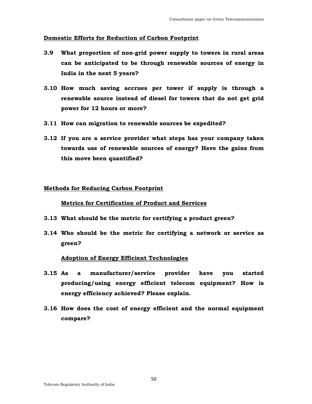### **Domestic Efforts for Reduction of Carbon Footprint**

- **3.9 What proportion of non-grid power supply to towers in rural areas can be anticipated to be through renewable sources of energy in India in the next 5 years?**
- **3.10 How much saving accrues per tower if supply is through a renewable source instead of diesel for towers that do not get grid power for 12 hours or more?**
- **3.11 How can migration to renewable sources be expedited?**
- **3.12 If you are a service provider what steps has your company taken towards use of renewable sources of energy? Have the gains from this move been quantified?**

### **Methods for Reducing Carbon Footprint**

### **Metrics for Certification of Product and Services**

- **3.13 What should be the metric for certifying a product green?**
- **3.14 Who should be the metric for certifying a network or service as green?**

### **Adoption of Energy Efficient Technologies**

- **3.15 As a manufacturer/service provider have you started producing/using energy efficient telecom equipment? How is energy efficiency achieved? Please explain.**
- **3.16 How does the cost of energy efficient and the normal equipment compare?**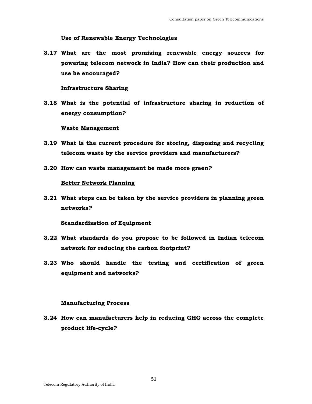### **Use of Renewable Energy Technologies**

**3.17 What are the most promising renewable energy sources for powering telecom network in India? How can their production and use be encouraged?** 

### **Infrastructure Sharing**

**3.18 What is the potential of infrastructure sharing in reduction of energy consumption?** 

### **Waste Management**

- **3.19 What is the current procedure for storing, disposing and recycling telecom waste by the service providers and manufacturers?**
- **3.20 How can waste management be made more green?**

### **Better Network Planning**

**3.21 What steps can be taken by the service providers in planning green networks?** 

### **Standardisation of Equipment**

- **3.22 What standards do you propose to be followed in Indian telecom network for reducing the carbon footprint?**
- **3.23 Who should handle the testing and certification of green equipment and networks?**

### **Manufacturing Process**

**3.24 How can manufacturers help in reducing GHG across the complete product life-cycle?**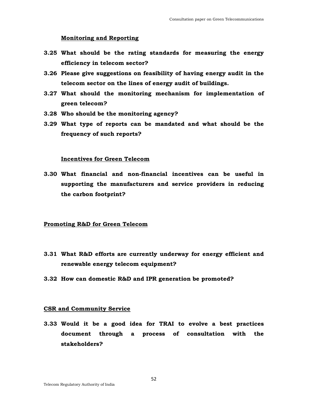### **Monitoring and Reporting**

- **3.25 What should be the rating standards for measuring the energy efficiency in telecom sector?**
- **3.26 Please give suggestions on feasibility of having energy audit in the telecom sector on the lines of energy audit of buildings.**
- **3.27 What should the monitoring mechanism for implementation of green telecom?**
- **3.28 Who should be the monitoring agency?**
- **3.29 What type of reports can be mandated and what should be the frequency of such reports?**

### **Incentives for Green Telecom**

**3.30 What financial and non-financial incentives can be useful in supporting the manufacturers and service providers in reducing the carbon footprint?** 

### **Promoting R&D for Green Telecom**

- **3.31 What R&D efforts are currently underway for energy efficient and renewable energy telecom equipment?**
- **3.32 How can domestic R&D and IPR generation be promoted?**

### **CSR and Community Service**

**3.33 Would it be a good idea for TRAI to evolve a best practices document through a process of consultation with the stakeholders?**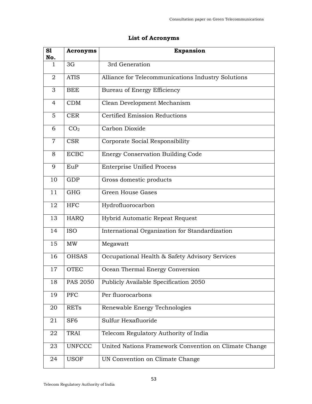## **List of Acronyms**

| S1<br>No.      | <b>Acronyms</b> | <b>Expansion</b>                                      |
|----------------|-----------------|-------------------------------------------------------|
| $\mathbf{1}$   | 3G              | 3rd Generation                                        |
| $\overline{2}$ | <b>ATIS</b>     | Alliance for Telecommunications Industry Solutions    |
| 3              | <b>BEE</b>      | <b>Bureau of Energy Efficiency</b>                    |
| 4              | CDM             | Clean Development Mechanism                           |
| 5              | <b>CER</b>      | <b>Certified Emission Reductions</b>                  |
| 6              | CO <sub>2</sub> | Carbon Dioxide                                        |
| $\overline{7}$ | <b>CSR</b>      | Corporate Social Responsibility                       |
| 8              | <b>ECBC</b>     | <b>Energy Conservation Building Code</b>              |
| 9              | EuP             | <b>Enterprise Unified Process</b>                     |
| 10             | <b>GDP</b>      | Gross domestic products                               |
| 11             | <b>GHG</b>      | Green House Gases                                     |
| 12             | <b>HFC</b>      | Hydrofluorocarbon                                     |
| 13             | <b>HARQ</b>     | Hybrid Automatic Repeat Request                       |
| 14             | <b>ISO</b>      | International Organization for Standardization        |
| 15             | <b>MW</b>       | Megawatt                                              |
| 16             | <b>OHSAS</b>    | Occupational Health & Safety Advisory Services        |
| 17             | <b>OTEC</b>     | Ocean Thermal Energy Conversion                       |
| 18             | <b>PAS 2050</b> | Publicly Available Specification 2050                 |
| 19             | PFC             | Per fluorocarbons                                     |
| 20             | <b>RETs</b>     | Renewable Energy Technologies                         |
| 21             | SF <sub>6</sub> | Sulfur Hexafluoride                                   |
| 22             | <b>TRAI</b>     | Telecom Regulatory Authority of India                 |
| 23             | <b>UNFCCC</b>   | United Nations Framework Convention on Climate Change |
| 24             | <b>USOF</b>     | UN Convention on Climate Change                       |